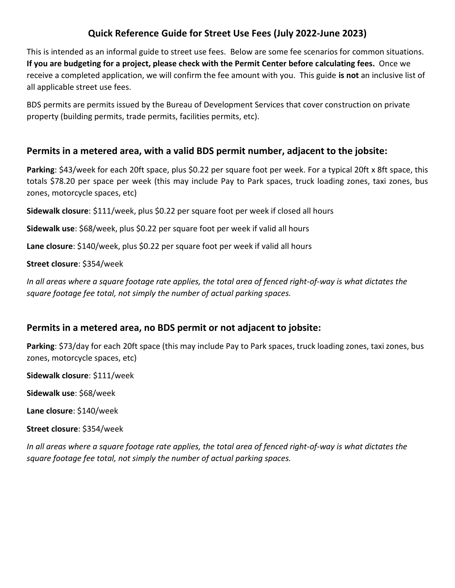# **Quick Reference Guide for Street Use Fees (July 2022-June 2023)**

This is intended as an informal guide to street use fees. Below are some fee scenarios for common situations. **If you are budgeting for a project, please check with the Permit Center before calculating fees.** Once we receive a completed application, we will confirm the fee amount with you. This guide **is not** an inclusive list of all applicable street use fees.

BDS permits are permits issued by the Bureau of Development Services that cover construction on private property (building permits, trade permits, facilities permits, etc).

#### **Permits in a metered area, with a valid BDS permit number, adjacent to the jobsite:**

**Parking**: \$43/week for each 20ft space, plus \$0.22 per square foot per week. For a typical 20ft x 8ft space, this totals \$78.20 per space per week (this may include Pay to Park spaces, truck loading zones, taxi zones, bus zones, motorcycle spaces, etc)

**Sidewalk closure**: \$111/week, plus \$0.22 per square foot per week if closed all hours

**Sidewalk use**: \$68/week, plus \$0.22 per square foot per week if valid all hours

**Lane closure**: \$140/week, plus \$0.22 per square foot per week if valid all hours

**Street closure**: \$354/week

*In all areas where a square footage rate applies, the total area of fenced right-of-way is what dictates the square footage fee total, not simply the number of actual parking spaces.* 

## **Permits in a metered area, no BDS permit or not adjacent to jobsite:**

**Parking**: \$73/day for each 20ft space (this may include Pay to Park spaces, truck loading zones, taxi zones, bus zones, motorcycle spaces, etc)

**Sidewalk closure**: \$111/week

**Sidewalk use**: \$68/week

**Lane closure**: \$140/week

**Street closure**: \$354/week

*In all areas where a square footage rate applies, the total area of fenced right-of-way is what dictates the square footage fee total, not simply the number of actual parking spaces.*